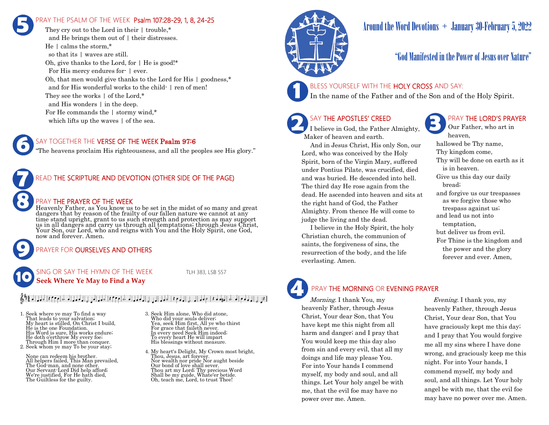# RAY THE PSALM OF THE WEEK Psalm 107:28-29, 1, 8, 24-25 **5**

They cry out to the Lord in their  $\pm$  trouble.<sup>\*</sup> and He brings them out of | their distresses. He | calms the storm,\* so that its | waves are still. Oh, give thanks to the Lord, for  $\vert$  He is good!\* For His mercy endures for- | ever. Oh, that men would give thanks to the Lord for His | goodness,\* and for His wonderful works to the child- | ren of men! They see the works | of the Lord,\* and His wonders | in the deep. For He commands the | stormy wind,\* which lifts up the waves | of the sea.

### SAY TOGETHER THE **VERSE OF THE WEEK Psalm 97:6**

"The heavens proclaim His righteousness, and all the peoples see His glory."

## READ THE SCRIPTURE AND DEVOTION (OTHER SIDE OF THE PAGE)

### PRAY THE PRAYER OF THE WEEK

Heavenly Father, as You know us to be set in the midst of so many and great dangers that by reason of the frailty of our fallen nature we cannot at any time stand upright, grant to us such strength and protection as may support us in all dangers and carry us through all temptations; through Jesus Christ, Your Son, our Lord, who and reigns with You and the Holy Spirit, one God, now and forever. Amen.

### PRAYER FOR **OURSELVES AND OTHERS**

SING OR SAY THE HYMN OF THE WEEK TLH 383, LSB 557 **Seek Where Ye May to Find a Way 10**

**9**

**8**

**7**

**6**

### $\frac{1}{2}$  , and  $\frac{1}{2}$  , and  $\frac{1}{2}$  , and  $\frac{1}{2}$  , and  $\frac{1}{2}$  , and  $\frac{1}{2}$  , and  $\frac{1}{2}$  , and  $\frac{1}{2}$  , and  $\frac{1}{2}$  , and  $\frac{1}{2}$  , and  $\frac{1}{2}$  , and  $\frac{1}{2}$

1. Seek where ye may To find a way That leads to your salvation; My heart is stilled, On Christ I build, He is the one Foundation. His Word is sure, His works endure; He doth o'erthrow My every foe; Through Him I more than conquer. 2. Seek whom ye may To be your stay;

None can redeem his brother. All helpers failed, This Man prevailed, The God-man, and none other. Our Servant-Lord Did help afford; We're justified, For He hath died, The Guiltless for the guilty.

- 3. Seek Him alone, Who did atone, Who did your souls deliver; Yea, seek Him first, All ye who thirst For grace that faileth never. In every need Seek Him indeed; To every heart He will impart His blessings without measure.
- 4. My heart's Delight, My Crown most bright, Thou, Jesus, art forever. Nor wealth nor pride Nor aught beside Our bond of love shall sever. Thou art my Lord; Thy precious Word Shall be my guide, Whate'er betide. Oh, teach me, Lord, to trust Thee!



# Around the Word Devotions  $+$  January 30-February 5, 2022

# "God Manifested in the Power of Jesus over Nature"

### BLESS YOURSELF WITH THE HOLY CROSS AND SAY:

In the name of the Father and of the Son and of the Holy Spirit.

# SAY THE APOSTLES' CREED

**2 SAY THE APOSTLES' CREED I** believe in God, the Father Almighty, Maker of heaven and earth.

 And in Jesus Christ, His only Son, our Lord, who was conceived by the Holy Spirit, born of the Virgin Mary, suffered under Pontius Pilate, was crucified, died and was buried. He descended into hell. The third day He rose again from the dead. He ascended into heaven and sits at the right hand of God, the Father Almighty. From thence He will come to judge the living and the dead.

 I believe in the Holy Spirit, the holy Christian church, the communion of saints, the forgiveness of sins, the resurrection of the body, and the life everlasting. Amen.

## PRAY THE LORD'S PRAYER

Our Father, who art in heaven, hallowed be Thy name, Thy kingdom come, Thy will be done on earth as it is in heaven. Give us this day our daily bread; and forgive us our trespasses as we forgive those who trespass against us; and lead us not into temptation, but deliver us from evil. For Thine is the kingdom and the power and the glory forever and ever. Amen.

# PRAY THE MORNING OR EVENING PRAYER

Morning. I thank You, my heavenly Father, through Jesus Christ, Your dear Son, that You have kept me this night from all harm and danger; and I pray that You would keep me this day also from sin and every evil, that all my doings and life may please You. For into Your hands I commend myself, my body and soul, and all things. Let Your holy angel be with me, that the evil foe may have no power over me. Amen. **4**

 Evening. I thank you, my heavenly Father, through Jesus Christ, Your dear Son, that You have graciously kept me this day; and I pray that You would forgive me all my sins where I have done wrong, and graciously keep me this night. For into Your hands, I commend myself, my body and soul, and all things. Let Your holy angel be with me, that the evil foe may have no power over me. Amen.